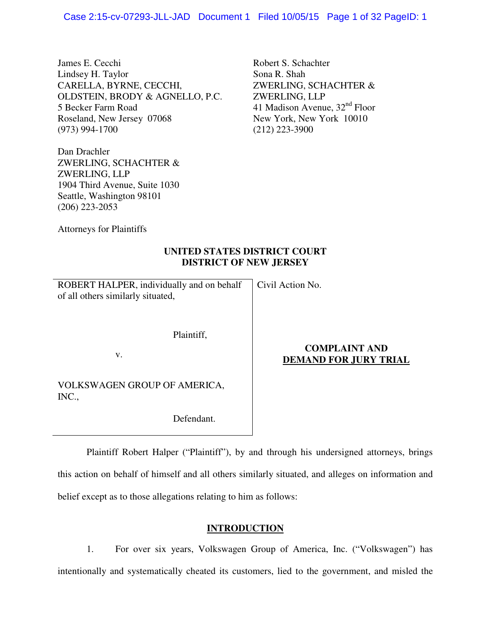James E. Cecchi Lindsey H. Taylor CARELLA, BYRNE, CECCHI, OLDSTEIN, BRODY & AGNELLO, P.C. 5 Becker Farm Road Roseland, New Jersey 07068 (973) 994-1700

Dan Drachler ZWERLING, SCHACHTER & ZWERLING, LLP 1904 Third Avenue, Suite 1030 Seattle, Washington 98101 (206) 223-2053

Robert S. Schachter Sona R. Shah ZWERLING, SCHACHTER & ZWERLING, LLP 41 Madison Avenue,  $32<sup>nd</sup>$  Floor New York, New York 10010 (212) 223-3900

Attorneys for Plaintiffs

# **UNITED STATES DISTRICT COURT DISTRICT OF NEW JERSEY**

| ROBERT HALPER, individually and on behalf   Civil Action No. |  |
|--------------------------------------------------------------|--|
| of all others similarly situated,                            |  |

Plaintiff,

v.

# **COMPLAINT AND DEMAND FOR JURY TRIAL**

VOLKSWAGEN GROUP OF AMERICA, INC.,

Defendant.

 Plaintiff Robert Halper ("Plaintiff"), by and through his undersigned attorneys, brings this action on behalf of himself and all others similarly situated, and alleges on information and belief except as to those allegations relating to him as follows:

# **INTRODUCTION**

1. For over six years, Volkswagen Group of America, Inc. ("Volkswagen") has intentionally and systematically cheated its customers, lied to the government, and misled the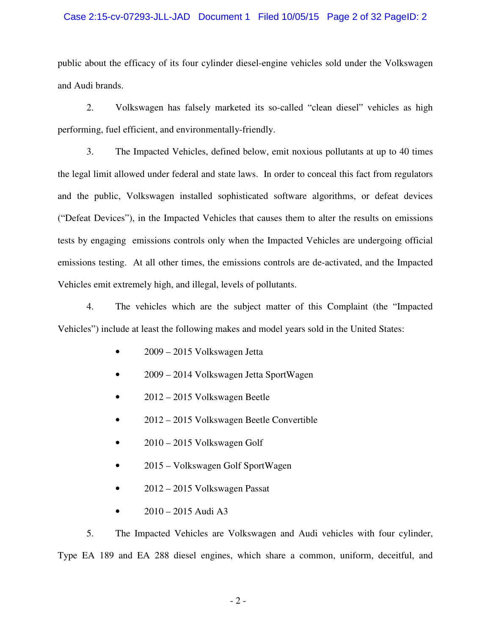### Case 2:15-cv-07293-JLL-JAD Document 1 Filed 10/05/15 Page 2 of 32 PageID: 2

public about the efficacy of its four cylinder diesel-engine vehicles sold under the Volkswagen and Audi brands.

2. Volkswagen has falsely marketed its so-called "clean diesel" vehicles as high performing, fuel efficient, and environmentally-friendly.

3. The Impacted Vehicles, defined below, emit noxious pollutants at up to 40 times the legal limit allowed under federal and state laws. In order to conceal this fact from regulators and the public, Volkswagen installed sophisticated software algorithms, or defeat devices ("Defeat Devices"), in the Impacted Vehicles that causes them to alter the results on emissions tests by engaging emissions controls only when the Impacted Vehicles are undergoing official emissions testing. At all other times, the emissions controls are de-activated, and the Impacted Vehicles emit extremely high, and illegal, levels of pollutants.

4. The vehicles which are the subject matter of this Complaint (the "Impacted Vehicles") include at least the following makes and model years sold in the United States:

- 2009 2015 Volkswagen Jetta
- 2009 2014 Volkswagen Jetta SportWagen
- 2012 2015 Volkswagen Beetle
- 2012 2015 Volkswagen Beetle Convertible
- 2010 2015 Volkswagen Golf
- 2015 Volkswagen Golf SportWagen
- 2012 2015 Volkswagen Passat
- 2010 2015 Audi A3

5. The Impacted Vehicles are Volkswagen and Audi vehicles with four cylinder, Type EA 189 and EA 288 diesel engines, which share a common, uniform, deceitful, and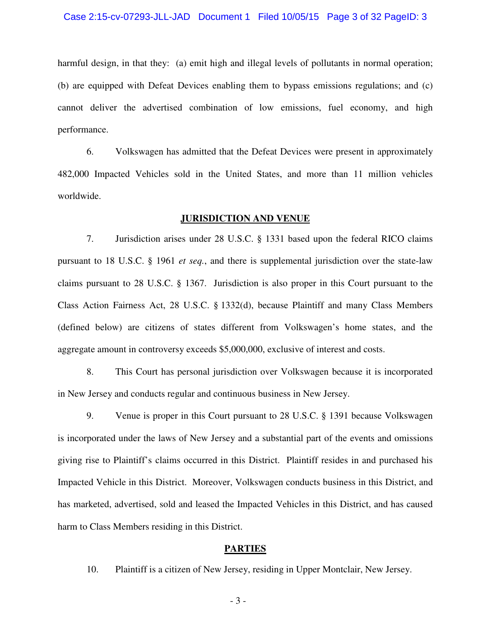#### Case 2:15-cv-07293-JLL-JAD Document 1 Filed 10/05/15 Page 3 of 32 PageID: 3

harmful design, in that they: (a) emit high and illegal levels of pollutants in normal operation; (b) are equipped with Defeat Devices enabling them to bypass emissions regulations; and (c) cannot deliver the advertised combination of low emissions, fuel economy, and high performance.

6. Volkswagen has admitted that the Defeat Devices were present in approximately 482,000 Impacted Vehicles sold in the United States, and more than 11 million vehicles worldwide.

#### **JURISDICTION AND VENUE**

7. Jurisdiction arises under 28 U.S.C. § 1331 based upon the federal RICO claims pursuant to 18 U.S.C. § 1961 *et seq.*, and there is supplemental jurisdiction over the state-law claims pursuant to 28 U.S.C. § 1367. Jurisdiction is also proper in this Court pursuant to the Class Action Fairness Act, 28 U.S.C. § 1332(d), because Plaintiff and many Class Members (defined below) are citizens of states different from Volkswagen's home states, and the aggregate amount in controversy exceeds \$5,000,000, exclusive of interest and costs.

8. This Court has personal jurisdiction over Volkswagen because it is incorporated in New Jersey and conducts regular and continuous business in New Jersey.

9. Venue is proper in this Court pursuant to 28 U.S.C. § 1391 because Volkswagen is incorporated under the laws of New Jersey and a substantial part of the events and omissions giving rise to Plaintiff's claims occurred in this District. Plaintiff resides in and purchased his Impacted Vehicle in this District. Moreover, Volkswagen conducts business in this District, and has marketed, advertised, sold and leased the Impacted Vehicles in this District, and has caused harm to Class Members residing in this District.

### **PARTIES**

10. Plaintiff is a citizen of New Jersey, residing in Upper Montclair, New Jersey.

- 3 -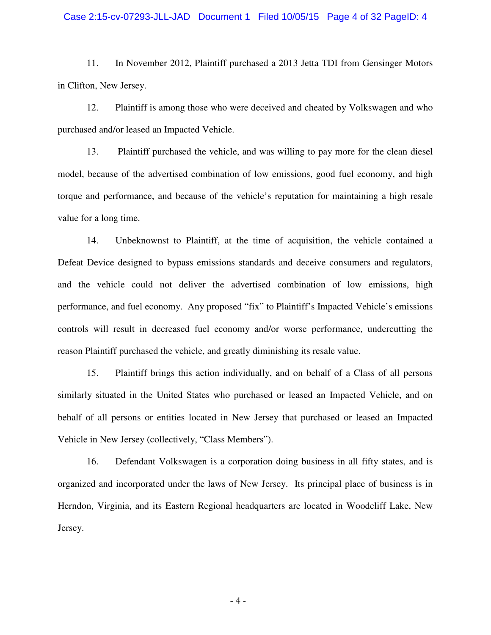#### Case 2:15-cv-07293-JLL-JAD Document 1 Filed 10/05/15 Page 4 of 32 PageID: 4

11. In November 2012, Plaintiff purchased a 2013 Jetta TDI from Gensinger Motors in Clifton, New Jersey.

12. Plaintiff is among those who were deceived and cheated by Volkswagen and who purchased and/or leased an Impacted Vehicle.

13. Plaintiff purchased the vehicle, and was willing to pay more for the clean diesel model, because of the advertised combination of low emissions, good fuel economy, and high torque and performance, and because of the vehicle's reputation for maintaining a high resale value for a long time.

14. Unbeknownst to Plaintiff, at the time of acquisition, the vehicle contained a Defeat Device designed to bypass emissions standards and deceive consumers and regulators, and the vehicle could not deliver the advertised combination of low emissions, high performance, and fuel economy. Any proposed "fix" to Plaintiff's Impacted Vehicle's emissions controls will result in decreased fuel economy and/or worse performance, undercutting the reason Plaintiff purchased the vehicle, and greatly diminishing its resale value.

15. Plaintiff brings this action individually, and on behalf of a Class of all persons similarly situated in the United States who purchased or leased an Impacted Vehicle, and on behalf of all persons or entities located in New Jersey that purchased or leased an Impacted Vehicle in New Jersey (collectively, "Class Members").

16. Defendant Volkswagen is a corporation doing business in all fifty states, and is organized and incorporated under the laws of New Jersey. Its principal place of business is in Herndon, Virginia, and its Eastern Regional headquarters are located in Woodcliff Lake, New Jersey.

- 4 -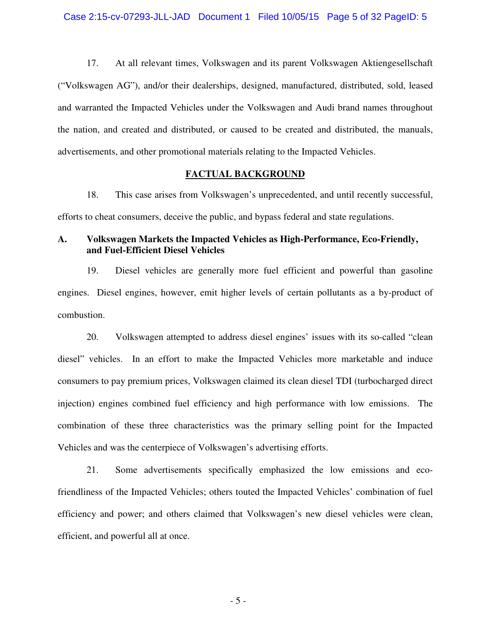17. At all relevant times, Volkswagen and its parent Volkswagen Aktiengesellschaft ("Volkswagen AG"), and/or their dealerships, designed, manufactured, distributed, sold, leased and warranted the Impacted Vehicles under the Volkswagen and Audi brand names throughout the nation, and created and distributed, or caused to be created and distributed, the manuals, advertisements, and other promotional materials relating to the Impacted Vehicles.

### **FACTUAL BACKGROUND**

18. This case arises from Volkswagen's unprecedented, and until recently successful, efforts to cheat consumers, deceive the public, and bypass federal and state regulations.

# **A. Volkswagen Markets the Impacted Vehicles as High-Performance, Eco-Friendly, and Fuel-Efficient Diesel Vehicles**

19. Diesel vehicles are generally more fuel efficient and powerful than gasoline engines. Diesel engines, however, emit higher levels of certain pollutants as a by-product of combustion.

20. Volkswagen attempted to address diesel engines' issues with its so-called "clean diesel" vehicles. In an effort to make the Impacted Vehicles more marketable and induce consumers to pay premium prices, Volkswagen claimed its clean diesel TDI (turbocharged direct injection) engines combined fuel efficiency and high performance with low emissions. The combination of these three characteristics was the primary selling point for the Impacted Vehicles and was the centerpiece of Volkswagen's advertising efforts.

21. Some advertisements specifically emphasized the low emissions and ecofriendliness of the Impacted Vehicles; others touted the Impacted Vehicles' combination of fuel efficiency and power; and others claimed that Volkswagen's new diesel vehicles were clean, efficient, and powerful all at once.

- 5 -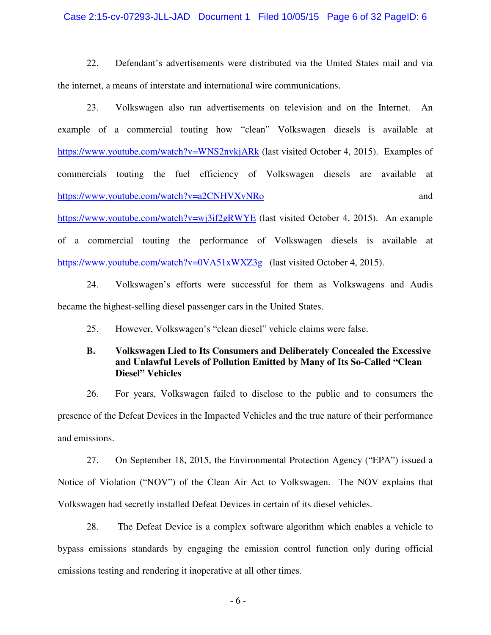#### Case 2:15-cv-07293-JLL-JAD Document 1 Filed 10/05/15 Page 6 of 32 PageID: 6

22. Defendant's advertisements were distributed via the United States mail and via the internet, a means of interstate and international wire communications.

23. Volkswagen also ran advertisements on television and on the Internet. An example of a commercial touting how "clean" Volkswagen diesels is available at https://www.youtube.com/watch?v=WNS2nvkjARk (last visited October 4, 2015). Examples of commercials touting the fuel efficiency of Volkswagen diesels are available at https://www.youtube.com/watch?v=a2CNHVXvNRo and

https://www.youtube.com/watch?v=wj3if2gRWYE (last visited October 4, 2015). An example of a commercial touting the performance of Volkswagen diesels is available at https://www.youtube.com/watch?v=0VA51xWXZ3g (last visited October 4, 2015).

24. Volkswagen's efforts were successful for them as Volkswagens and Audis became the highest-selling diesel passenger cars in the United States.

25. However, Volkswagen's "clean diesel" vehicle claims were false.

# **B. Volkswagen Lied to Its Consumers and Deliberately Concealed the Excessive and Unlawful Levels of Pollution Emitted by Many of Its So-Called "Clean Diesel" Vehicles**

26. For years, Volkswagen failed to disclose to the public and to consumers the presence of the Defeat Devices in the Impacted Vehicles and the true nature of their performance and emissions.

27. On September 18, 2015, the Environmental Protection Agency ("EPA") issued a Notice of Violation ("NOV") of the Clean Air Act to Volkswagen. The NOV explains that Volkswagen had secretly installed Defeat Devices in certain of its diesel vehicles.

28. The Defeat Device is a complex software algorithm which enables a vehicle to bypass emissions standards by engaging the emission control function only during official emissions testing and rendering it inoperative at all other times.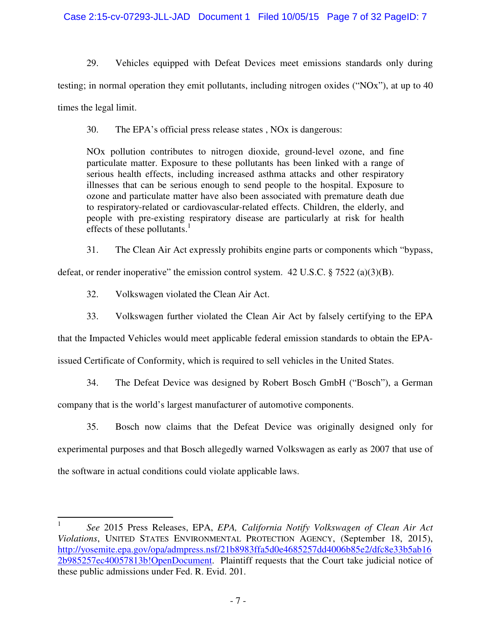29. Vehicles equipped with Defeat Devices meet emissions standards only during testing; in normal operation they emit pollutants, including nitrogen oxides ("NOx"), at up to 40 times the legal limit.

30. The EPA's official press release states , NOx is dangerous:

NOx pollution contributes to nitrogen dioxide, ground-level ozone, and fine particulate matter. Exposure to these pollutants has been linked with a range of serious health effects, including increased asthma attacks and other respiratory illnesses that can be serious enough to send people to the hospital. Exposure to ozone and particulate matter have also been associated with premature death due to respiratory-related or cardiovascular-related effects. Children, the elderly, and people with pre-existing respiratory disease are particularly at risk for health effects of these pollutants. $\frac{1}{1}$ 

31. The Clean Air Act expressly prohibits engine parts or components which "bypass,

defeat, or render inoperative" the emission control system.  $42 \text{ U.S.C.} \$   $7522 \text{ (a)(3)(B)}$ .

32. Volkswagen violated the Clean Air Act.

33. Volkswagen further violated the Clean Air Act by falsely certifying to the EPA

that the Impacted Vehicles would meet applicable federal emission standards to obtain the EPA-

issued Certificate of Conformity, which is required to sell vehicles in the United States.

34. The Defeat Device was designed by Robert Bosch GmbH ("Bosch"), a German

company that is the world's largest manufacturer of automotive components.

35. Bosch now claims that the Defeat Device was originally designed only for experimental purposes and that Bosch allegedly warned Volkswagen as early as 2007 that use of the software in actual conditions could violate applicable laws.

 $\frac{1}{1}$  *See* 2015 Press Releases, EPA, *EPA, California Notify Volkswagen of Clean Air Act Violations*, UNITED STATES ENVIRONMENTAL PROTECTION AGENCY, (September 18, 2015), http://yosemite.epa.gov/opa/admpress.nsf/21b8983ffa5d0e4685257dd4006b85e2/dfc8e33b5ab16 2b985257ec40057813b!OpenDocument. Plaintiff requests that the Court take judicial notice of these public admissions under Fed. R. Evid. 201.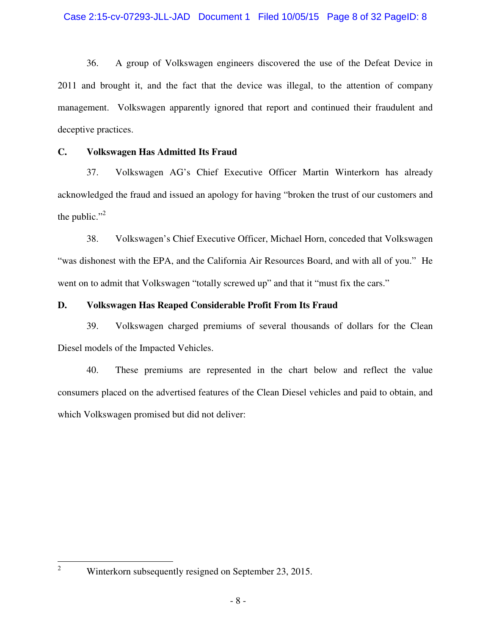36. A group of Volkswagen engineers discovered the use of the Defeat Device in 2011 and brought it, and the fact that the device was illegal, to the attention of company management. Volkswagen apparently ignored that report and continued their fraudulent and deceptive practices.

# **C. Volkswagen Has Admitted Its Fraud**

37. Volkswagen AG's Chief Executive Officer Martin Winterkorn has already acknowledged the fraud and issued an apology for having "broken the trust of our customers and the public." $\cdot$ <sup>2</sup>

38. Volkswagen's Chief Executive Officer, Michael Horn, conceded that Volkswagen "was dishonest with the EPA, and the California Air Resources Board, and with all of you." He went on to admit that Volkswagen "totally screwed up" and that it "must fix the cars."

# **D. Volkswagen Has Reaped Considerable Profit From Its Fraud**

39. Volkswagen charged premiums of several thousands of dollars for the Clean Diesel models of the Impacted Vehicles.

40. These premiums are represented in the chart below and reflect the value consumers placed on the advertised features of the Clean Diesel vehicles and paid to obtain, and which Volkswagen promised but did not deliver:

 $\frac{1}{2}$ 

Winterkorn subsequently resigned on September 23, 2015.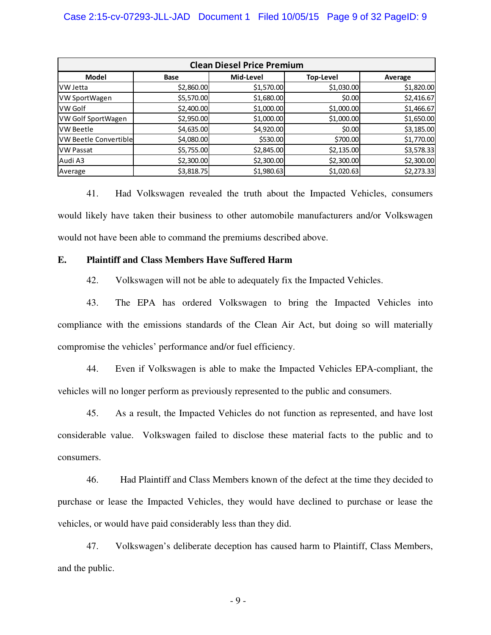| <b>Clean Diesel Price Premium</b> |             |            |             |            |  |  |  |  |
|-----------------------------------|-------------|------------|-------------|------------|--|--|--|--|
| Model                             | <b>Base</b> | Mid-Level  | Top-Level   | Average    |  |  |  |  |
| IVW Jetta                         | \$2,860.00  | \$1,570.00 | \$1,030.00  | \$1,820.00 |  |  |  |  |
| VW SportWagen                     | \$5,570.00  | \$1,680.00 | \$0.00      | \$2,416.67 |  |  |  |  |
| VW Golf                           | \$2,400.00  | \$1,000.00 | \$1,000.00] | \$1,466.67 |  |  |  |  |
| VW Golf SportWagen                | \$2,950.00  | \$1,000.00 | \$1,000.00  | \$1,650.00 |  |  |  |  |
| IVW Beetle                        | \$4,635.00  | \$4,920.00 | \$0.00      | \$3,185.00 |  |  |  |  |
| <b>VW Beetle Convertible</b>      | \$4,080.00  | \$530.00   | \$700.00    | \$1,770.00 |  |  |  |  |
| <b>VW Passat</b>                  | \$5,755.00  | \$2,845.00 | \$2,135.00  | \$3,578.33 |  |  |  |  |
| Audi A3                           | \$2,300.00  | \$2,300.00 | \$2,300.00  | \$2,300.00 |  |  |  |  |
| Average                           | \$3,818.75  | \$1,980.63 | \$1,020.63  | \$2,273.33 |  |  |  |  |

41. Had Volkswagen revealed the truth about the Impacted Vehicles, consumers would likely have taken their business to other automobile manufacturers and/or Volkswagen would not have been able to command the premiums described above.

### **E. Plaintiff and Class Members Have Suffered Harm**

42. Volkswagen will not be able to adequately fix the Impacted Vehicles.

43. The EPA has ordered Volkswagen to bring the Impacted Vehicles into compliance with the emissions standards of the Clean Air Act, but doing so will materially compromise the vehicles' performance and/or fuel efficiency.

44. Even if Volkswagen is able to make the Impacted Vehicles EPA-compliant, the vehicles will no longer perform as previously represented to the public and consumers.

45. As a result, the Impacted Vehicles do not function as represented, and have lost considerable value. Volkswagen failed to disclose these material facts to the public and to consumers.

46. Had Plaintiff and Class Members known of the defect at the time they decided to purchase or lease the Impacted Vehicles, they would have declined to purchase or lease the vehicles, or would have paid considerably less than they did.

47. Volkswagen's deliberate deception has caused harm to Plaintiff, Class Members, and the public.

- 9 -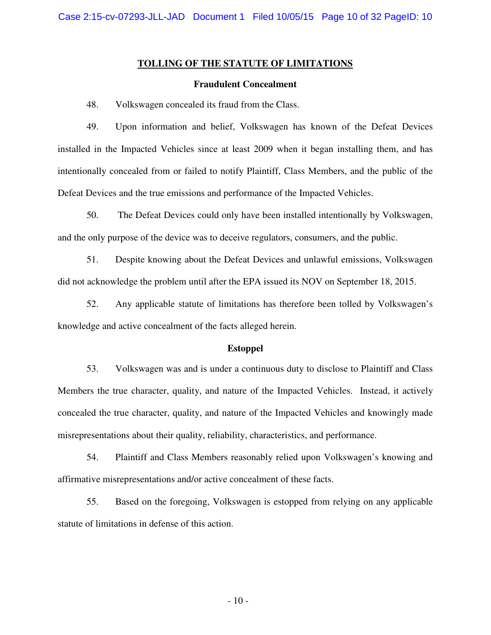#### **TOLLING OF THE STATUTE OF LIMITATIONS**

#### **Fraudulent Concealment**

48. Volkswagen concealed its fraud from the Class.

49. Upon information and belief, Volkswagen has known of the Defeat Devices installed in the Impacted Vehicles since at least 2009 when it began installing them, and has intentionally concealed from or failed to notify Plaintiff, Class Members, and the public of the Defeat Devices and the true emissions and performance of the Impacted Vehicles.

50. The Defeat Devices could only have been installed intentionally by Volkswagen, and the only purpose of the device was to deceive regulators, consumers, and the public.

51. Despite knowing about the Defeat Devices and unlawful emissions, Volkswagen did not acknowledge the problem until after the EPA issued its NOV on September 18, 2015.

52. Any applicable statute of limitations has therefore been tolled by Volkswagen's knowledge and active concealment of the facts alleged herein.

#### **Estoppel**

53. Volkswagen was and is under a continuous duty to disclose to Plaintiff and Class Members the true character, quality, and nature of the Impacted Vehicles. Instead, it actively concealed the true character, quality, and nature of the Impacted Vehicles and knowingly made misrepresentations about their quality, reliability, characteristics, and performance.

54. Plaintiff and Class Members reasonably relied upon Volkswagen's knowing and affirmative misrepresentations and/or active concealment of these facts.

55. Based on the foregoing, Volkswagen is estopped from relying on any applicable statute of limitations in defense of this action.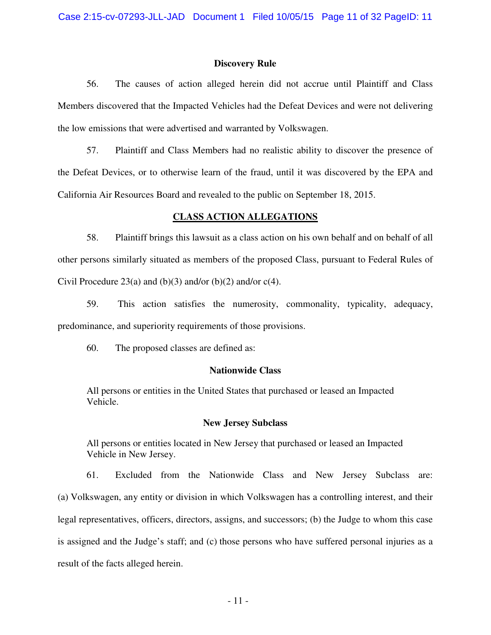#### **Discovery Rule**

56. The causes of action alleged herein did not accrue until Plaintiff and Class Members discovered that the Impacted Vehicles had the Defeat Devices and were not delivering the low emissions that were advertised and warranted by Volkswagen.

57. Plaintiff and Class Members had no realistic ability to discover the presence of the Defeat Devices, or to otherwise learn of the fraud, until it was discovered by the EPA and California Air Resources Board and revealed to the public on September 18, 2015.

### **CLASS ACTION ALLEGATIONS**

58. Plaintiff brings this lawsuit as a class action on his own behalf and on behalf of all other persons similarly situated as members of the proposed Class, pursuant to Federal Rules of Civil Procedure 23(a) and (b)(3) and/or (b)(2) and/or  $c(4)$ .

59. This action satisfies the numerosity, commonality, typicality, adequacy, predominance, and superiority requirements of those provisions.

60. The proposed classes are defined as:

### **Nationwide Class**

All persons or entities in the United States that purchased or leased an Impacted Vehicle.

#### **New Jersey Subclass**

All persons or entities located in New Jersey that purchased or leased an Impacted Vehicle in New Jersey.

61. Excluded from the Nationwide Class and New Jersey Subclass are: (a) Volkswagen, any entity or division in which Volkswagen has a controlling interest, and their legal representatives, officers, directors, assigns, and successors; (b) the Judge to whom this case is assigned and the Judge's staff; and (c) those persons who have suffered personal injuries as a result of the facts alleged herein.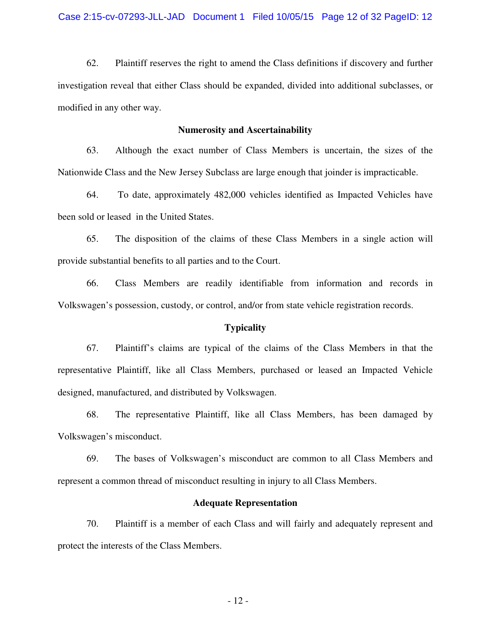62. Plaintiff reserves the right to amend the Class definitions if discovery and further investigation reveal that either Class should be expanded, divided into additional subclasses, or modified in any other way.

#### **Numerosity and Ascertainability**

63. Although the exact number of Class Members is uncertain, the sizes of the Nationwide Class and the New Jersey Subclass are large enough that joinder is impracticable.

64. To date, approximately 482,000 vehicles identified as Impacted Vehicles have been sold or leased in the United States.

65. The disposition of the claims of these Class Members in a single action will provide substantial benefits to all parties and to the Court.

66. Class Members are readily identifiable from information and records in Volkswagen's possession, custody, or control, and/or from state vehicle registration records.

#### **Typicality**

67. Plaintiff's claims are typical of the claims of the Class Members in that the representative Plaintiff, like all Class Members, purchased or leased an Impacted Vehicle designed, manufactured, and distributed by Volkswagen.

68. The representative Plaintiff, like all Class Members, has been damaged by Volkswagen's misconduct.

69. The bases of Volkswagen's misconduct are common to all Class Members and represent a common thread of misconduct resulting in injury to all Class Members.

#### **Adequate Representation**

70. Plaintiff is a member of each Class and will fairly and adequately represent and protect the interests of the Class Members.

- 12 -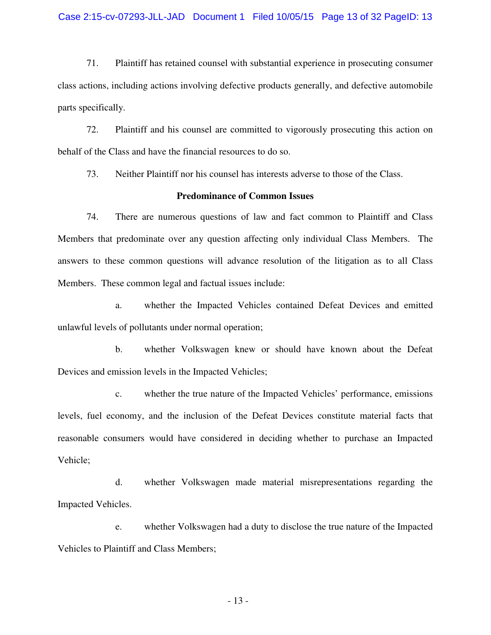#### Case 2:15-cv-07293-JLL-JAD Document 1 Filed 10/05/15 Page 13 of 32 PageID: 13

71. Plaintiff has retained counsel with substantial experience in prosecuting consumer class actions, including actions involving defective products generally, and defective automobile parts specifically.

72. Plaintiff and his counsel are committed to vigorously prosecuting this action on behalf of the Class and have the financial resources to do so.

73. Neither Plaintiff nor his counsel has interests adverse to those of the Class.

### **Predominance of Common Issues**

74. There are numerous questions of law and fact common to Plaintiff and Class Members that predominate over any question affecting only individual Class Members. The answers to these common questions will advance resolution of the litigation as to all Class Members. These common legal and factual issues include:

a. whether the Impacted Vehicles contained Defeat Devices and emitted unlawful levels of pollutants under normal operation;

b. whether Volkswagen knew or should have known about the Defeat Devices and emission levels in the Impacted Vehicles;

c. whether the true nature of the Impacted Vehicles' performance, emissions levels, fuel economy, and the inclusion of the Defeat Devices constitute material facts that reasonable consumers would have considered in deciding whether to purchase an Impacted Vehicle;

d. whether Volkswagen made material misrepresentations regarding the Impacted Vehicles.

e. whether Volkswagen had a duty to disclose the true nature of the Impacted Vehicles to Plaintiff and Class Members;

- 13 -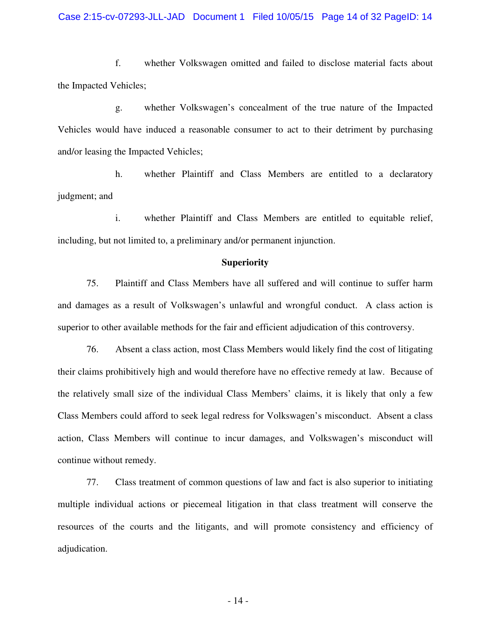f. whether Volkswagen omitted and failed to disclose material facts about the Impacted Vehicles;

g. whether Volkswagen's concealment of the true nature of the Impacted Vehicles would have induced a reasonable consumer to act to their detriment by purchasing and/or leasing the Impacted Vehicles;

h. whether Plaintiff and Class Members are entitled to a declaratory judgment; and

i. whether Plaintiff and Class Members are entitled to equitable relief, including, but not limited to, a preliminary and/or permanent injunction.

#### **Superiority**

75. Plaintiff and Class Members have all suffered and will continue to suffer harm and damages as a result of Volkswagen's unlawful and wrongful conduct. A class action is superior to other available methods for the fair and efficient adjudication of this controversy.

76. Absent a class action, most Class Members would likely find the cost of litigating their claims prohibitively high and would therefore have no effective remedy at law. Because of the relatively small size of the individual Class Members' claims, it is likely that only a few Class Members could afford to seek legal redress for Volkswagen's misconduct. Absent a class action, Class Members will continue to incur damages, and Volkswagen's misconduct will continue without remedy.

77. Class treatment of common questions of law and fact is also superior to initiating multiple individual actions or piecemeal litigation in that class treatment will conserve the resources of the courts and the litigants, and will promote consistency and efficiency of adjudication.

- 14 -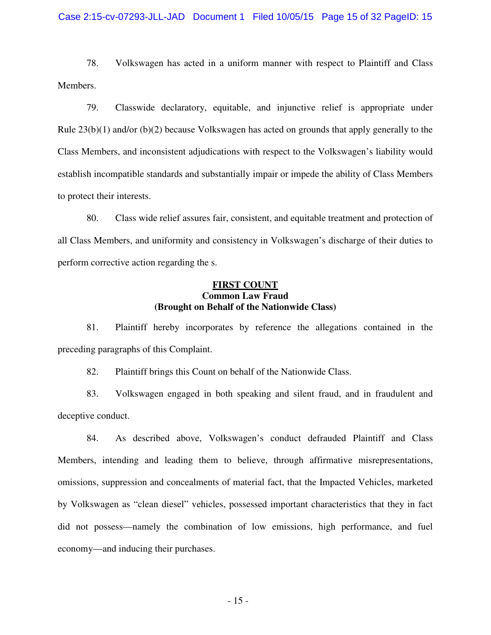#### Case 2:15-cv-07293-JLL-JAD Document 1 Filed 10/05/15 Page 15 of 32 PageID: 15

78. Volkswagen has acted in a uniform manner with respect to Plaintiff and Class Members.

79. Classwide declaratory, equitable, and injunctive relief is appropriate under Rule  $23(b)(1)$  and/or  $(b)(2)$  because Volkswagen has acted on grounds that apply generally to the Class Members, and inconsistent adjudications with respect to the Volkswagen's liability would establish incompatible standards and substantially impair or impede the ability of Class Members to protect their interests.

80. Class wide relief assures fair, consistent, and equitable treatment and protection of all Class Members, and uniformity and consistency in Volkswagen's discharge of their duties to perform corrective action regarding the s.

### **FIRST COUNT Common Law Fraud (Brought on Behalf of the Nationwide Class)**

81. Plaintiff hereby incorporates by reference the allegations contained in the preceding paragraphs of this Complaint.

82. Plaintiff brings this Count on behalf of the Nationwide Class.

83. Volkswagen engaged in both speaking and silent fraud, and in fraudulent and deceptive conduct.

84. As described above, Volkswagen's conduct defrauded Plaintiff and Class Members, intending and leading them to believe, through affirmative misrepresentations, omissions, suppression and concealments of material fact, that the Impacted Vehicles, marketed by Volkswagen as "clean diesel" vehicles, possessed important characteristics that they in fact did not possess—namely the combination of low emissions, high performance, and fuel economy—and inducing their purchases.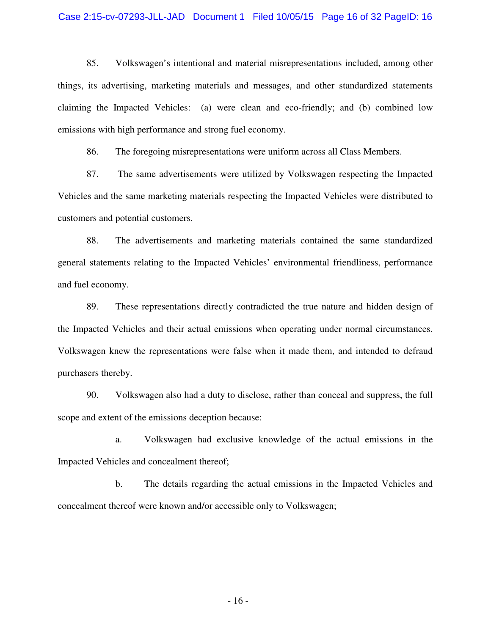#### Case 2:15-cv-07293-JLL-JAD Document 1 Filed 10/05/15 Page 16 of 32 PageID: 16

85. Volkswagen's intentional and material misrepresentations included, among other things, its advertising, marketing materials and messages, and other standardized statements claiming the Impacted Vehicles: (a) were clean and eco-friendly; and (b) combined low emissions with high performance and strong fuel economy.

86. The foregoing misrepresentations were uniform across all Class Members.

87. The same advertisements were utilized by Volkswagen respecting the Impacted Vehicles and the same marketing materials respecting the Impacted Vehicles were distributed to customers and potential customers.

88. The advertisements and marketing materials contained the same standardized general statements relating to the Impacted Vehicles' environmental friendliness, performance and fuel economy.

89. These representations directly contradicted the true nature and hidden design of the Impacted Vehicles and their actual emissions when operating under normal circumstances. Volkswagen knew the representations were false when it made them, and intended to defraud purchasers thereby.

90. Volkswagen also had a duty to disclose, rather than conceal and suppress, the full scope and extent of the emissions deception because:

a. Volkswagen had exclusive knowledge of the actual emissions in the Impacted Vehicles and concealment thereof;

b. The details regarding the actual emissions in the Impacted Vehicles and concealment thereof were known and/or accessible only to Volkswagen;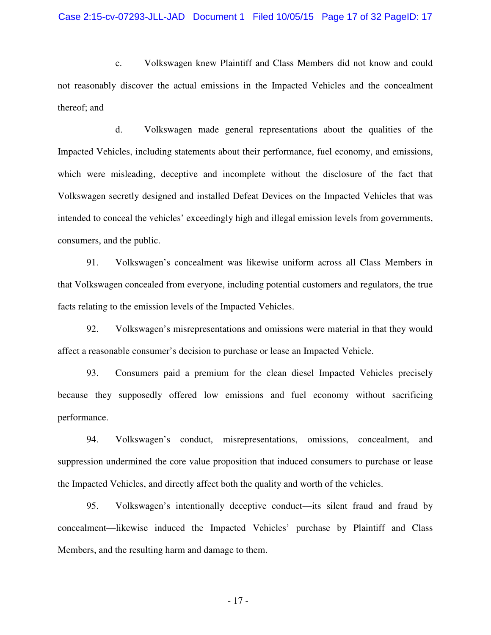c. Volkswagen knew Plaintiff and Class Members did not know and could not reasonably discover the actual emissions in the Impacted Vehicles and the concealment thereof; and

d. Volkswagen made general representations about the qualities of the Impacted Vehicles, including statements about their performance, fuel economy, and emissions, which were misleading, deceptive and incomplete without the disclosure of the fact that Volkswagen secretly designed and installed Defeat Devices on the Impacted Vehicles that was intended to conceal the vehicles' exceedingly high and illegal emission levels from governments, consumers, and the public.

91. Volkswagen's concealment was likewise uniform across all Class Members in that Volkswagen concealed from everyone, including potential customers and regulators, the true facts relating to the emission levels of the Impacted Vehicles.

92. Volkswagen's misrepresentations and omissions were material in that they would affect a reasonable consumer's decision to purchase or lease an Impacted Vehicle.

93. Consumers paid a premium for the clean diesel Impacted Vehicles precisely because they supposedly offered low emissions and fuel economy without sacrificing performance.

94. Volkswagen's conduct, misrepresentations, omissions, concealment, and suppression undermined the core value proposition that induced consumers to purchase or lease the Impacted Vehicles, and directly affect both the quality and worth of the vehicles.

95. Volkswagen's intentionally deceptive conduct—its silent fraud and fraud by concealment—likewise induced the Impacted Vehicles' purchase by Plaintiff and Class Members, and the resulting harm and damage to them.

- 17 -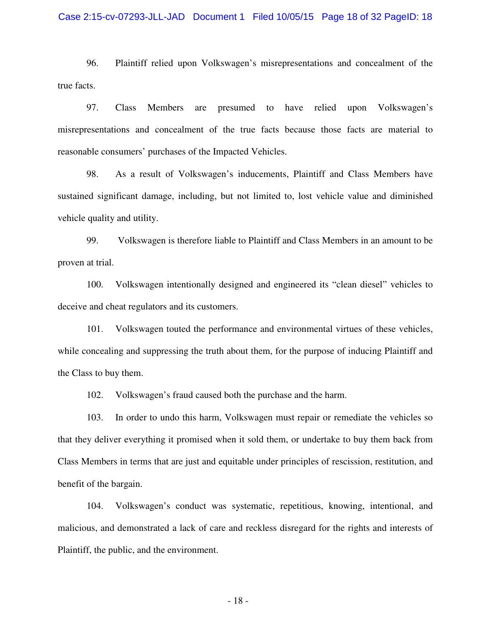#### Case 2:15-cv-07293-JLL-JAD Document 1 Filed 10/05/15 Page 18 of 32 PageID: 18

96. Plaintiff relied upon Volkswagen's misrepresentations and concealment of the true facts.

97. Class Members are presumed to have relied upon Volkswagen's misrepresentations and concealment of the true facts because those facts are material to reasonable consumers' purchases of the Impacted Vehicles.

98. As a result of Volkswagen's inducements, Plaintiff and Class Members have sustained significant damage, including, but not limited to, lost vehicle value and diminished vehicle quality and utility.

99. Volkswagen is therefore liable to Plaintiff and Class Members in an amount to be proven at trial.

100. Volkswagen intentionally designed and engineered its "clean diesel" vehicles to deceive and cheat regulators and its customers.

101. Volkswagen touted the performance and environmental virtues of these vehicles, while concealing and suppressing the truth about them, for the purpose of inducing Plaintiff and the Class to buy them.

102. Volkswagen's fraud caused both the purchase and the harm.

103. In order to undo this harm, Volkswagen must repair or remediate the vehicles so that they deliver everything it promised when it sold them, or undertake to buy them back from Class Members in terms that are just and equitable under principles of rescission, restitution, and benefit of the bargain.

104. Volkswagen's conduct was systematic, repetitious, knowing, intentional, and malicious, and demonstrated a lack of care and reckless disregard for the rights and interests of Plaintiff, the public, and the environment.

- 18 -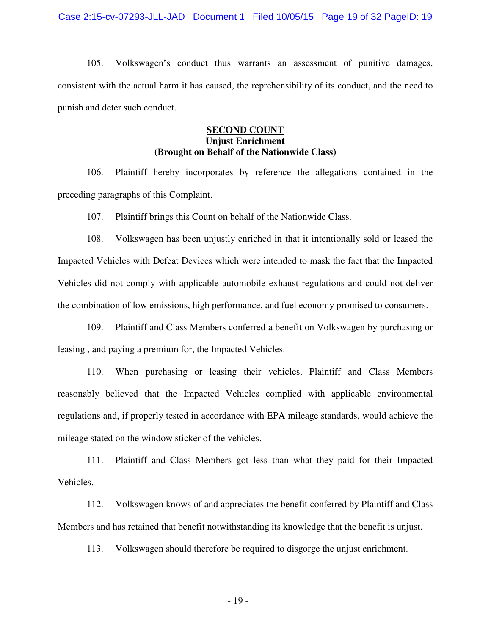105. Volkswagen's conduct thus warrants an assessment of punitive damages, consistent with the actual harm it has caused, the reprehensibility of its conduct, and the need to punish and deter such conduct.

# **SECOND COUNT Unjust Enrichment (Brought on Behalf of the Nationwide Class)**

106. Plaintiff hereby incorporates by reference the allegations contained in the preceding paragraphs of this Complaint.

107. Plaintiff brings this Count on behalf of the Nationwide Class.

108. Volkswagen has been unjustly enriched in that it intentionally sold or leased the Impacted Vehicles with Defeat Devices which were intended to mask the fact that the Impacted Vehicles did not comply with applicable automobile exhaust regulations and could not deliver the combination of low emissions, high performance, and fuel economy promised to consumers.

109. Plaintiff and Class Members conferred a benefit on Volkswagen by purchasing or leasing , and paying a premium for, the Impacted Vehicles.

110. When purchasing or leasing their vehicles, Plaintiff and Class Members reasonably believed that the Impacted Vehicles complied with applicable environmental regulations and, if properly tested in accordance with EPA mileage standards, would achieve the mileage stated on the window sticker of the vehicles.

111. Plaintiff and Class Members got less than what they paid for their Impacted Vehicles.

112. Volkswagen knows of and appreciates the benefit conferred by Plaintiff and Class Members and has retained that benefit notwithstanding its knowledge that the benefit is unjust.

113. Volkswagen should therefore be required to disgorge the unjust enrichment.

- 19 -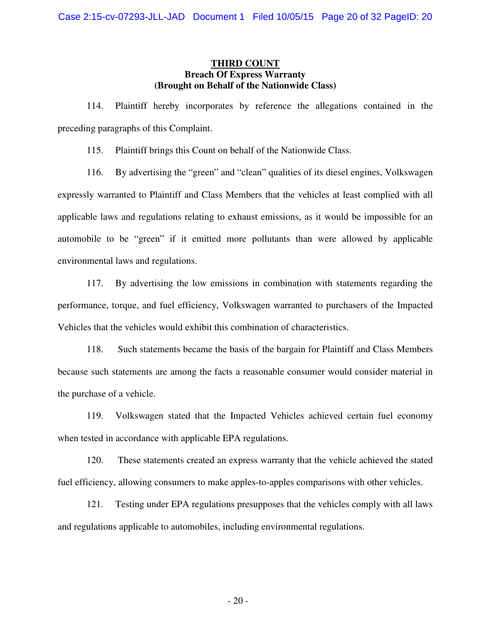### **THIRD COUNT Breach Of Express Warranty (Brought on Behalf of the Nationwide Class)**

114. Plaintiff hereby incorporates by reference the allegations contained in the preceding paragraphs of this Complaint.

115. Plaintiff brings this Count on behalf of the Nationwide Class.

116. By advertising the "green" and "clean" qualities of its diesel engines, Volkswagen expressly warranted to Plaintiff and Class Members that the vehicles at least complied with all applicable laws and regulations relating to exhaust emissions, as it would be impossible for an automobile to be "green" if it emitted more pollutants than were allowed by applicable environmental laws and regulations.

117. By advertising the low emissions in combination with statements regarding the performance, torque, and fuel efficiency, Volkswagen warranted to purchasers of the Impacted Vehicles that the vehicles would exhibit this combination of characteristics.

118. Such statements became the basis of the bargain for Plaintiff and Class Members because such statements are among the facts a reasonable consumer would consider material in the purchase of a vehicle.

119. Volkswagen stated that the Impacted Vehicles achieved certain fuel economy when tested in accordance with applicable EPA regulations.

120. These statements created an express warranty that the vehicle achieved the stated fuel efficiency, allowing consumers to make apples-to-apples comparisons with other vehicles.

121. Testing under EPA regulations presupposes that the vehicles comply with all laws and regulations applicable to automobiles, including environmental regulations.

- 20 -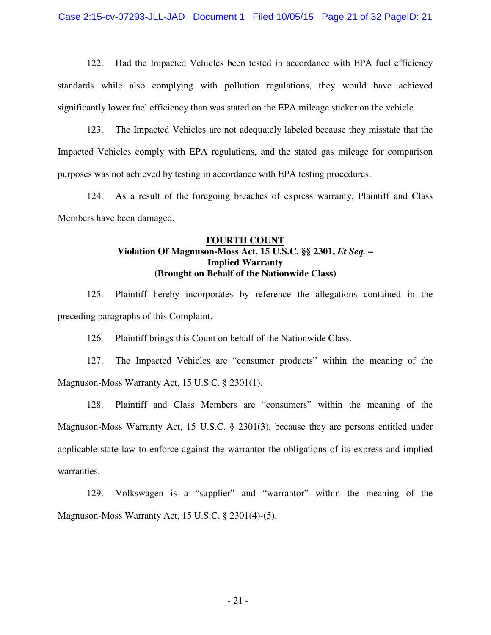Case 2:15-cv-07293-JLL-JAD Document 1 Filed 10/05/15 Page 21 of 32 PageID: 21

122. Had the Impacted Vehicles been tested in accordance with EPA fuel efficiency standards while also complying with pollution regulations, they would have achieved significantly lower fuel efficiency than was stated on the EPA mileage sticker on the vehicle.

123. The Impacted Vehicles are not adequately labeled because they misstate that the Impacted Vehicles comply with EPA regulations, and the stated gas mileage for comparison purposes was not achieved by testing in accordance with EPA testing procedures.

124. As a result of the foregoing breaches of express warranty, Plaintiff and Class Members have been damaged.

# **FOURTH COUNT Violation Of Magnuson-Moss Act, 15 U.S.C. §§ 2301,** *Et Seq.* **– Implied Warranty (Brought on Behalf of the Nationwide Class)**

125. Plaintiff hereby incorporates by reference the allegations contained in the preceding paragraphs of this Complaint.

126. Plaintiff brings this Count on behalf of the Nationwide Class.

127. The Impacted Vehicles are "consumer products" within the meaning of the Magnuson-Moss Warranty Act, 15 U.S.C. § 2301(1).

128. Plaintiff and Class Members are "consumers" within the meaning of the Magnuson-Moss Warranty Act, 15 U.S.C. § 2301(3), because they are persons entitled under applicable state law to enforce against the warrantor the obligations of its express and implied warranties.

129. Volkswagen is a "supplier" and "warrantor" within the meaning of the Magnuson-Moss Warranty Act, 15 U.S.C. § 2301(4)-(5).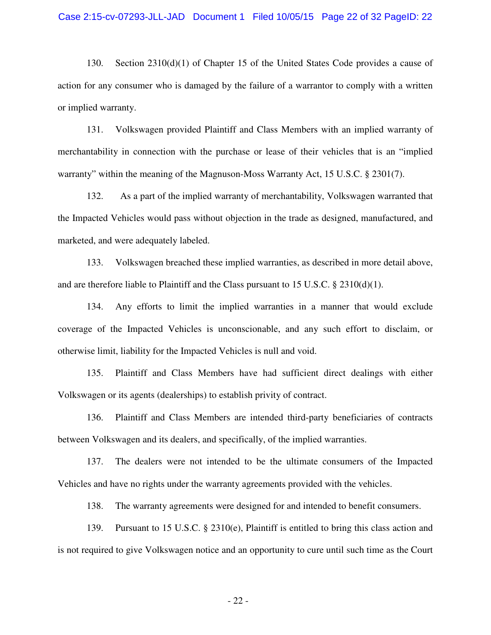130. Section 2310(d)(1) of Chapter 15 of the United States Code provides a cause of action for any consumer who is damaged by the failure of a warrantor to comply with a written or implied warranty.

131. Volkswagen provided Plaintiff and Class Members with an implied warranty of merchantability in connection with the purchase or lease of their vehicles that is an "implied warranty" within the meaning of the Magnuson-Moss Warranty Act, 15 U.S.C. § 2301(7).

132. As a part of the implied warranty of merchantability, Volkswagen warranted that the Impacted Vehicles would pass without objection in the trade as designed, manufactured, and marketed, and were adequately labeled.

133. Volkswagen breached these implied warranties, as described in more detail above, and are therefore liable to Plaintiff and the Class pursuant to 15 U.S.C. § 2310(d)(1).

134. Any efforts to limit the implied warranties in a manner that would exclude coverage of the Impacted Vehicles is unconscionable, and any such effort to disclaim, or otherwise limit, liability for the Impacted Vehicles is null and void.

135. Plaintiff and Class Members have had sufficient direct dealings with either Volkswagen or its agents (dealerships) to establish privity of contract.

136. Plaintiff and Class Members are intended third-party beneficiaries of contracts between Volkswagen and its dealers, and specifically, of the implied warranties.

137. The dealers were not intended to be the ultimate consumers of the Impacted Vehicles and have no rights under the warranty agreements provided with the vehicles.

138. The warranty agreements were designed for and intended to benefit consumers.

139. Pursuant to 15 U.S.C. § 2310(e), Plaintiff is entitled to bring this class action and is not required to give Volkswagen notice and an opportunity to cure until such time as the Court

- 22 -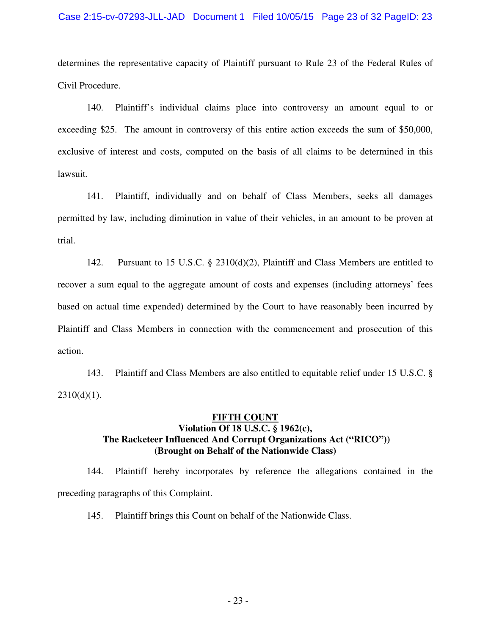#### Case 2:15-cv-07293-JLL-JAD Document 1 Filed 10/05/15 Page 23 of 32 PageID: 23

determines the representative capacity of Plaintiff pursuant to Rule 23 of the Federal Rules of Civil Procedure.

140. Plaintiff's individual claims place into controversy an amount equal to or exceeding \$25. The amount in controversy of this entire action exceeds the sum of \$50,000, exclusive of interest and costs, computed on the basis of all claims to be determined in this lawsuit.

141. Plaintiff, individually and on behalf of Class Members, seeks all damages permitted by law, including diminution in value of their vehicles, in an amount to be proven at trial.

142. Pursuant to 15 U.S.C. § 2310(d)(2), Plaintiff and Class Members are entitled to recover a sum equal to the aggregate amount of costs and expenses (including attorneys' fees based on actual time expended) determined by the Court to have reasonably been incurred by Plaintiff and Class Members in connection with the commencement and prosecution of this action.

143. Plaintiff and Class Members are also entitled to equitable relief under 15 U.S.C. §  $2310(d)(1)$ .

# **FIFTH COUNT Violation Of 18 U.S.C. § 1962(c), The Racketeer Influenced And Corrupt Organizations Act ("RICO")) (Brought on Behalf of the Nationwide Class)**

144. Plaintiff hereby incorporates by reference the allegations contained in the preceding paragraphs of this Complaint.

145. Plaintiff brings this Count on behalf of the Nationwide Class.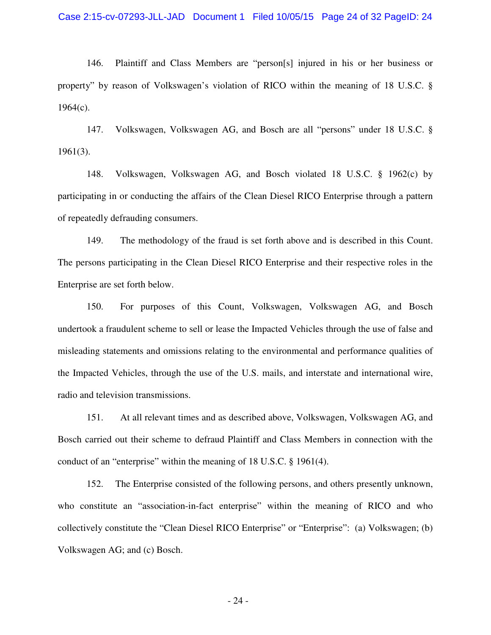146. Plaintiff and Class Members are "person[s] injured in his or her business or property" by reason of Volkswagen's violation of RICO within the meaning of 18 U.S.C. §  $1964(c)$ .

147. Volkswagen, Volkswagen AG, and Bosch are all "persons" under 18 U.S.C. § 1961(3).

148. Volkswagen, Volkswagen AG, and Bosch violated 18 U.S.C. § 1962(c) by participating in or conducting the affairs of the Clean Diesel RICO Enterprise through a pattern of repeatedly defrauding consumers.

149. The methodology of the fraud is set forth above and is described in this Count. The persons participating in the Clean Diesel RICO Enterprise and their respective roles in the Enterprise are set forth below.

150. For purposes of this Count, Volkswagen, Volkswagen AG, and Bosch undertook a fraudulent scheme to sell or lease the Impacted Vehicles through the use of false and misleading statements and omissions relating to the environmental and performance qualities of the Impacted Vehicles, through the use of the U.S. mails, and interstate and international wire, radio and television transmissions.

151. At all relevant times and as described above, Volkswagen, Volkswagen AG, and Bosch carried out their scheme to defraud Plaintiff and Class Members in connection with the conduct of an "enterprise" within the meaning of 18 U.S.C. § 1961(4).

152. The Enterprise consisted of the following persons, and others presently unknown, who constitute an "association-in-fact enterprise" within the meaning of RICO and who collectively constitute the "Clean Diesel RICO Enterprise" or "Enterprise": (a) Volkswagen; (b) Volkswagen AG; and (c) Bosch.

- 24 -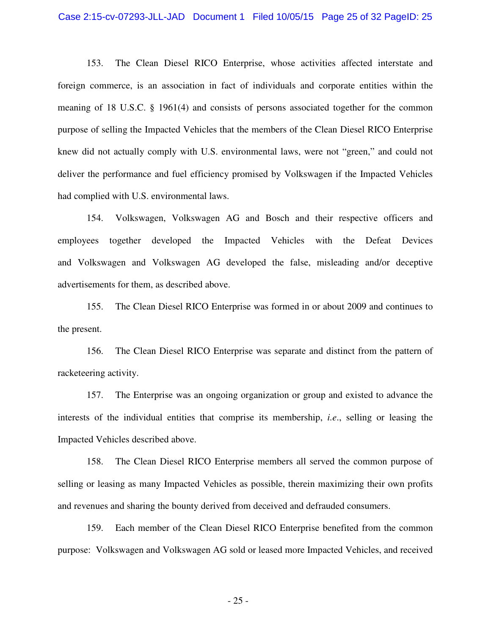#### Case 2:15-cv-07293-JLL-JAD Document 1 Filed 10/05/15 Page 25 of 32 PageID: 25

153. The Clean Diesel RICO Enterprise, whose activities affected interstate and foreign commerce, is an association in fact of individuals and corporate entities within the meaning of 18 U.S.C. § 1961(4) and consists of persons associated together for the common purpose of selling the Impacted Vehicles that the members of the Clean Diesel RICO Enterprise knew did not actually comply with U.S. environmental laws, were not "green," and could not deliver the performance and fuel efficiency promised by Volkswagen if the Impacted Vehicles had complied with U.S. environmental laws.

154. Volkswagen, Volkswagen AG and Bosch and their respective officers and employees together developed the Impacted Vehicles with the Defeat Devices and Volkswagen and Volkswagen AG developed the false, misleading and/or deceptive advertisements for them, as described above.

155. The Clean Diesel RICO Enterprise was formed in or about 2009 and continues to the present.

156. The Clean Diesel RICO Enterprise was separate and distinct from the pattern of racketeering activity.

157. The Enterprise was an ongoing organization or group and existed to advance the interests of the individual entities that comprise its membership, *i.e*., selling or leasing the Impacted Vehicles described above.

158. The Clean Diesel RICO Enterprise members all served the common purpose of selling or leasing as many Impacted Vehicles as possible, therein maximizing their own profits and revenues and sharing the bounty derived from deceived and defrauded consumers.

159. Each member of the Clean Diesel RICO Enterprise benefited from the common purpose: Volkswagen and Volkswagen AG sold or leased more Impacted Vehicles, and received

- 25 -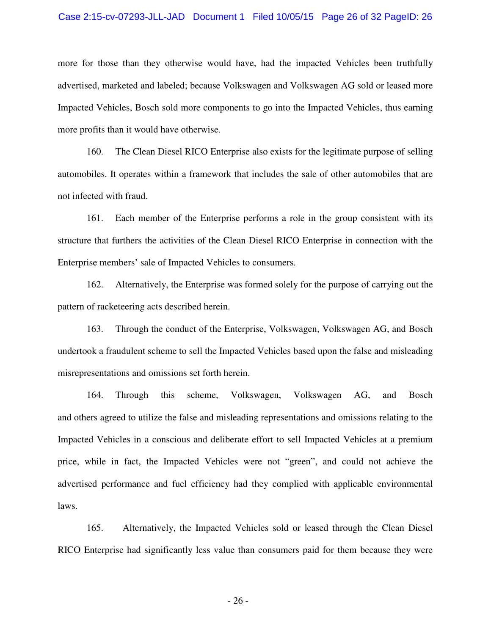#### Case 2:15-cv-07293-JLL-JAD Document 1 Filed 10/05/15 Page 26 of 32 PageID: 26

more for those than they otherwise would have, had the impacted Vehicles been truthfully advertised, marketed and labeled; because Volkswagen and Volkswagen AG sold or leased more Impacted Vehicles, Bosch sold more components to go into the Impacted Vehicles, thus earning more profits than it would have otherwise.

160. The Clean Diesel RICO Enterprise also exists for the legitimate purpose of selling automobiles. It operates within a framework that includes the sale of other automobiles that are not infected with fraud.

161. Each member of the Enterprise performs a role in the group consistent with its structure that furthers the activities of the Clean Diesel RICO Enterprise in connection with the Enterprise members' sale of Impacted Vehicles to consumers.

162. Alternatively, the Enterprise was formed solely for the purpose of carrying out the pattern of racketeering acts described herein.

163. Through the conduct of the Enterprise, Volkswagen, Volkswagen AG, and Bosch undertook a fraudulent scheme to sell the Impacted Vehicles based upon the false and misleading misrepresentations and omissions set forth herein.

164. Through this scheme, Volkswagen, Volkswagen AG, and Bosch and others agreed to utilize the false and misleading representations and omissions relating to the Impacted Vehicles in a conscious and deliberate effort to sell Impacted Vehicles at a premium price, while in fact, the Impacted Vehicles were not "green", and could not achieve the advertised performance and fuel efficiency had they complied with applicable environmental laws.

165. Alternatively, the Impacted Vehicles sold or leased through the Clean Diesel RICO Enterprise had significantly less value than consumers paid for them because they were

- 26 -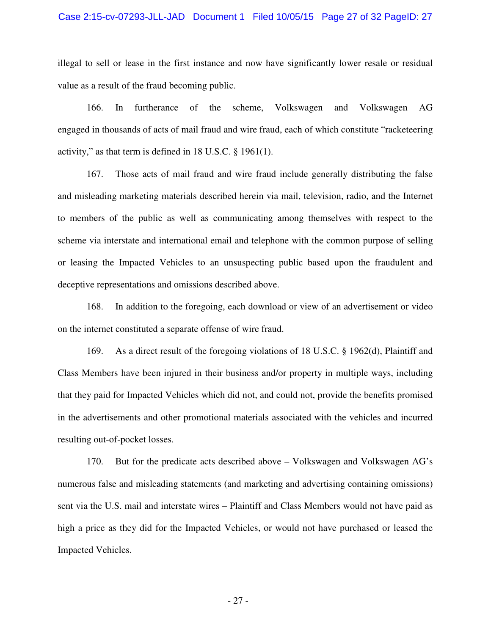#### Case 2:15-cv-07293-JLL-JAD Document 1 Filed 10/05/15 Page 27 of 32 PageID: 27

illegal to sell or lease in the first instance and now have significantly lower resale or residual value as a result of the fraud becoming public.

166. In furtherance of the scheme, Volkswagen and Volkswagen AG engaged in thousands of acts of mail fraud and wire fraud, each of which constitute "racketeering activity," as that term is defined in 18 U.S.C. § 1961(1).

167. Those acts of mail fraud and wire fraud include generally distributing the false and misleading marketing materials described herein via mail, television, radio, and the Internet to members of the public as well as communicating among themselves with respect to the scheme via interstate and international email and telephone with the common purpose of selling or leasing the Impacted Vehicles to an unsuspecting public based upon the fraudulent and deceptive representations and omissions described above.

168. In addition to the foregoing, each download or view of an advertisement or video on the internet constituted a separate offense of wire fraud.

169. As a direct result of the foregoing violations of 18 U.S.C. § 1962(d), Plaintiff and Class Members have been injured in their business and/or property in multiple ways, including that they paid for Impacted Vehicles which did not, and could not, provide the benefits promised in the advertisements and other promotional materials associated with the vehicles and incurred resulting out-of-pocket losses.

170. But for the predicate acts described above – Volkswagen and Volkswagen AG's numerous false and misleading statements (and marketing and advertising containing omissions) sent via the U.S. mail and interstate wires – Plaintiff and Class Members would not have paid as high a price as they did for the Impacted Vehicles, or would not have purchased or leased the Impacted Vehicles.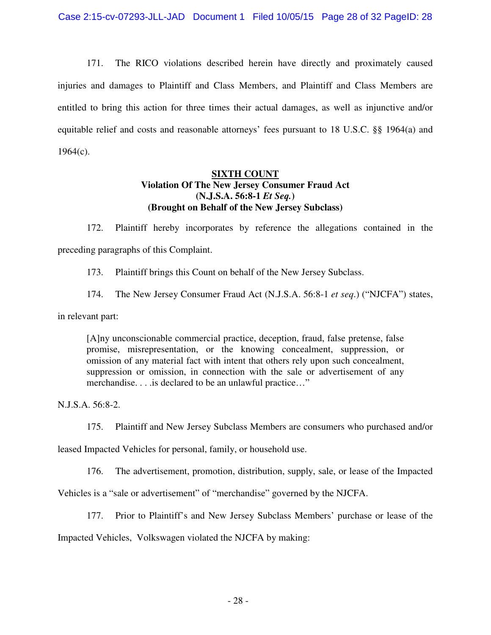171. The RICO violations described herein have directly and proximately caused injuries and damages to Plaintiff and Class Members, and Plaintiff and Class Members are entitled to bring this action for three times their actual damages, as well as injunctive and/or equitable relief and costs and reasonable attorneys' fees pursuant to 18 U.S.C. §§ 1964(a) and  $1964(c)$ .

# **SIXTH COUNT Violation Of The New Jersey Consumer Fraud Act (N.J.S.A. 56:8-1** *Et Seq.***) (Brought on Behalf of the New Jersey Subclass)**

172. Plaintiff hereby incorporates by reference the allegations contained in the preceding paragraphs of this Complaint.

173. Plaintiff brings this Count on behalf of the New Jersey Subclass.

174. The New Jersey Consumer Fraud Act (N.J.S.A. 56:8-1 *et seq*.) ("NJCFA") states,

in relevant part:

[A]ny unconscionable commercial practice, deception, fraud, false pretense, false promise, misrepresentation, or the knowing concealment, suppression, or omission of any material fact with intent that others rely upon such concealment, suppression or omission, in connection with the sale or advertisement of any merchandise. . . .is declared to be an unlawful practice…"

N.J.S.A. 56:8-2.

175. Plaintiff and New Jersey Subclass Members are consumers who purchased and/or

leased Impacted Vehicles for personal, family, or household use.

176. The advertisement, promotion, distribution, supply, sale, or lease of the Impacted

Vehicles is a "sale or advertisement" of "merchandise" governed by the NJCFA.

177. Prior to Plaintiff's and New Jersey Subclass Members' purchase or lease of the

Impacted Vehicles, Volkswagen violated the NJCFA by making: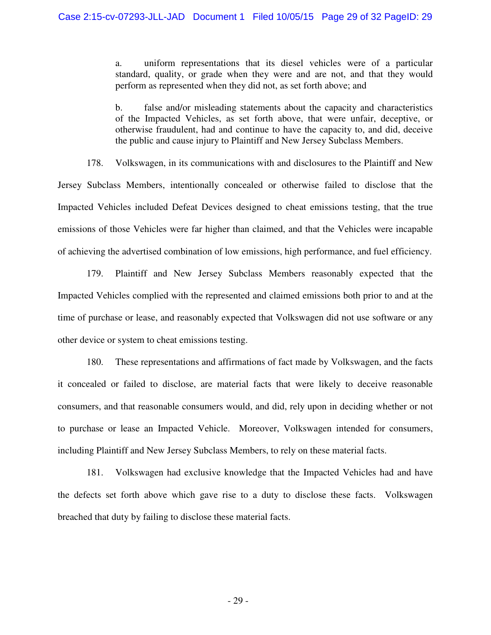a. uniform representations that its diesel vehicles were of a particular standard, quality, or grade when they were and are not, and that they would perform as represented when they did not, as set forth above; and

b. false and/or misleading statements about the capacity and characteristics of the Impacted Vehicles, as set forth above, that were unfair, deceptive, or otherwise fraudulent, had and continue to have the capacity to, and did, deceive the public and cause injury to Plaintiff and New Jersey Subclass Members.

178. Volkswagen, in its communications with and disclosures to the Plaintiff and New Jersey Subclass Members, intentionally concealed or otherwise failed to disclose that the Impacted Vehicles included Defeat Devices designed to cheat emissions testing, that the true emissions of those Vehicles were far higher than claimed, and that the Vehicles were incapable of achieving the advertised combination of low emissions, high performance, and fuel efficiency.

179. Plaintiff and New Jersey Subclass Members reasonably expected that the Impacted Vehicles complied with the represented and claimed emissions both prior to and at the time of purchase or lease, and reasonably expected that Volkswagen did not use software or any other device or system to cheat emissions testing.

180. These representations and affirmations of fact made by Volkswagen, and the facts it concealed or failed to disclose, are material facts that were likely to deceive reasonable consumers, and that reasonable consumers would, and did, rely upon in deciding whether or not to purchase or lease an Impacted Vehicle. Moreover, Volkswagen intended for consumers, including Plaintiff and New Jersey Subclass Members, to rely on these material facts.

181. Volkswagen had exclusive knowledge that the Impacted Vehicles had and have the defects set forth above which gave rise to a duty to disclose these facts. Volkswagen breached that duty by failing to disclose these material facts.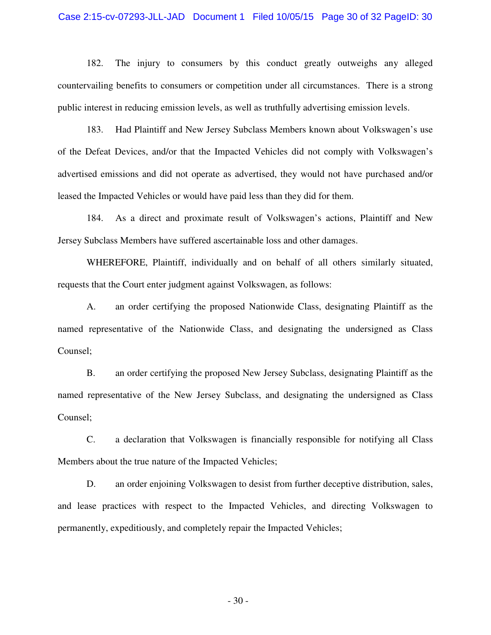#### Case 2:15-cv-07293-JLL-JAD Document 1 Filed 10/05/15 Page 30 of 32 PageID: 30

182. The injury to consumers by this conduct greatly outweighs any alleged countervailing benefits to consumers or competition under all circumstances. There is a strong public interest in reducing emission levels, as well as truthfully advertising emission levels.

183. Had Plaintiff and New Jersey Subclass Members known about Volkswagen's use of the Defeat Devices, and/or that the Impacted Vehicles did not comply with Volkswagen's advertised emissions and did not operate as advertised, they would not have purchased and/or leased the Impacted Vehicles or would have paid less than they did for them.

184. As a direct and proximate result of Volkswagen's actions, Plaintiff and New Jersey Subclass Members have suffered ascertainable loss and other damages.

WHEREFORE, Plaintiff, individually and on behalf of all others similarly situated, requests that the Court enter judgment against Volkswagen, as follows:

A. an order certifying the proposed Nationwide Class, designating Plaintiff as the named representative of the Nationwide Class, and designating the undersigned as Class Counsel;

B. an order certifying the proposed New Jersey Subclass, designating Plaintiff as the named representative of the New Jersey Subclass, and designating the undersigned as Class Counsel;

C. a declaration that Volkswagen is financially responsible for notifying all Class Members about the true nature of the Impacted Vehicles;

D. an order enjoining Volkswagen to desist from further deceptive distribution, sales, and lease practices with respect to the Impacted Vehicles, and directing Volkswagen to permanently, expeditiously, and completely repair the Impacted Vehicles;

- 30 -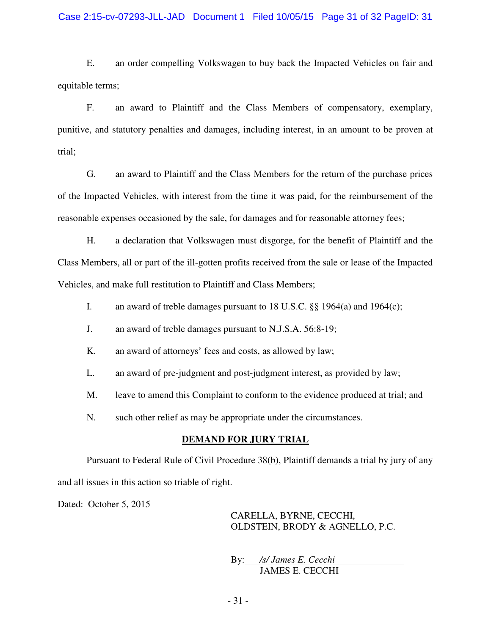### Case 2:15-cv-07293-JLL-JAD Document 1 Filed 10/05/15 Page 31 of 32 PageID: 31

E. an order compelling Volkswagen to buy back the Impacted Vehicles on fair and equitable terms;

F. an award to Plaintiff and the Class Members of compensatory, exemplary, punitive, and statutory penalties and damages, including interest, in an amount to be proven at trial;

G. an award to Plaintiff and the Class Members for the return of the purchase prices of the Impacted Vehicles, with interest from the time it was paid, for the reimbursement of the reasonable expenses occasioned by the sale, for damages and for reasonable attorney fees;

H. a declaration that Volkswagen must disgorge, for the benefit of Plaintiff and the Class Members, all or part of the ill-gotten profits received from the sale or lease of the Impacted Vehicles, and make full restitution to Plaintiff and Class Members;

- I. an award of treble damages pursuant to 18 U.S.C. §§ 1964(a) and 1964(c);
- J. an award of treble damages pursuant to N.J.S.A. 56:8-19;
- K. an award of attorneys' fees and costs, as allowed by law;
- L. an award of pre-judgment and post-judgment interest, as provided by law;
- M. leave to amend this Complaint to conform to the evidence produced at trial; and
- N. such other relief as may be appropriate under the circumstances.

### **DEMAND FOR JURY TRIAL**

Pursuant to Federal Rule of Civil Procedure 38(b), Plaintiff demands a trial by jury of any and all issues in this action so triable of right.

Dated: October 5, 2015

CARELLA, BYRNE, CECCHI, OLDSTEIN, BRODY & AGNELLO, P.C.

By: */s/ James E. Cecchi* JAMES E. CECCHI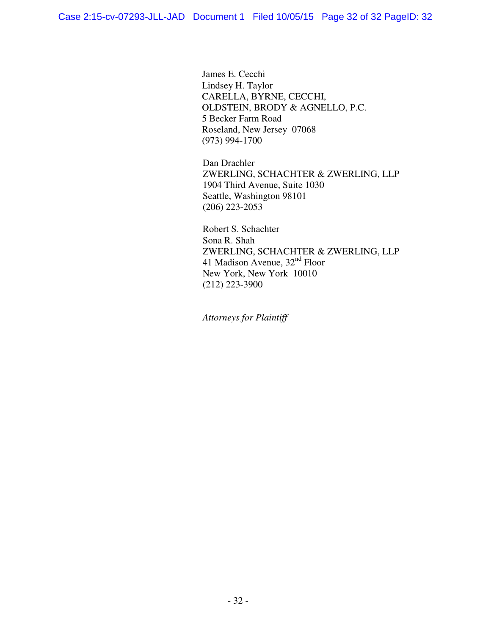James E. Cecchi Lindsey H. Taylor CARELLA, BYRNE, CECCHI, OLDSTEIN, BRODY & AGNELLO, P.C. 5 Becker Farm Road Roseland, New Jersey 07068 (973) 994-1700

Dan Drachler ZWERLING, SCHACHTER & ZWERLING, LLP 1904 Third Avenue, Suite 1030 Seattle, Washington 98101 (206) 223-2053

Robert S. Schachter Sona R. Shah ZWERLING, SCHACHTER & ZWERLING, LLP 41 Madison Avenue,  $32<sup>nd</sup>$  Floor New York, New York 10010 (212) 223-3900

*Attorneys for Plaintiff*